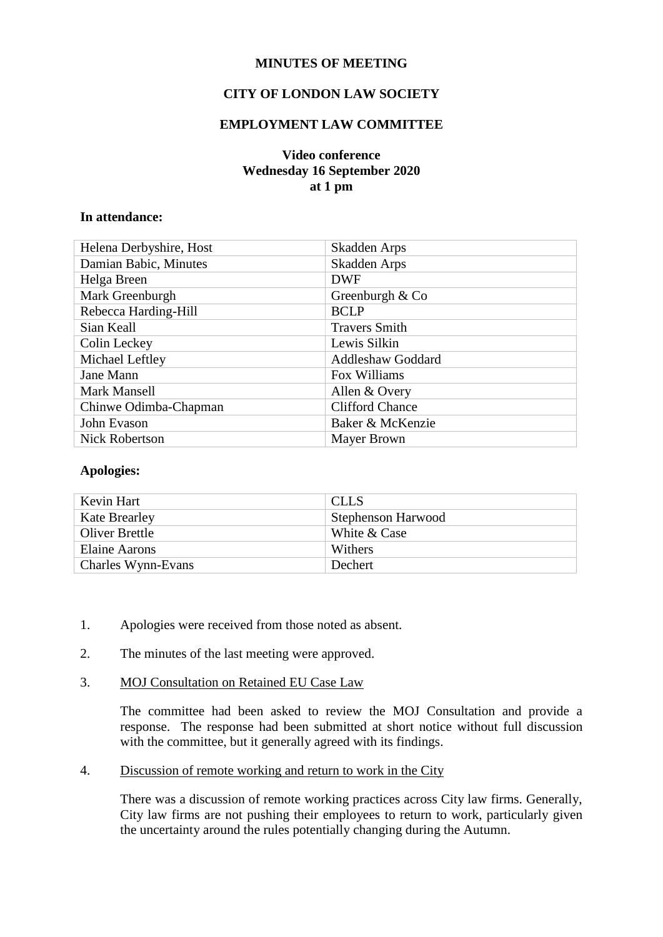## **MINUTES OF MEETING**

# **CITY OF LONDON LAW SOCIETY**

## **EMPLOYMENT LAW COMMITTEE**

## **Video conference Wednesday 16 September 2020 at 1 pm**

#### **In attendance:**

| Helena Derbyshire, Host | Skadden Arps             |
|-------------------------|--------------------------|
| Damian Babic, Minutes   | Skadden Arps             |
| Helga Breen             | <b>DWF</b>               |
| Mark Greenburgh         | Greenburgh & Co          |
| Rebecca Harding-Hill    | <b>BCLP</b>              |
| Sian Keall              | <b>Travers Smith</b>     |
| Colin Leckey            | Lewis Silkin             |
| Michael Leftley         | <b>Addleshaw Goddard</b> |
| Jane Mann               | Fox Williams             |
| <b>Mark Mansell</b>     | Allen & Overy            |
| Chinwe Odimba-Chapman   | <b>Clifford Chance</b>   |
| John Evason             | Baker & McKenzie         |
| <b>Nick Robertson</b>   | <b>Mayer Brown</b>       |

#### **Apologies:**

| Kevin Hart            | <b>CLLS</b>        |
|-----------------------|--------------------|
| <b>Kate Brearley</b>  | Stephenson Harwood |
| <b>Oliver Brettle</b> | White & Case       |
| <b>Elaine Aarons</b>  | Withers            |
| Charles Wynn-Evans    | <b>Dechert</b>     |

- 1. Apologies were received from those noted as absent.
- 2. The minutes of the last meeting were approved.
- 3. MOJ Consultation on Retained EU Case Law

The committee had been asked to review the MOJ Consultation and provide a response. The response had been submitted at short notice without full discussion with the committee, but it generally agreed with its findings.

4. Discussion of remote working and return to work in the City

There was a discussion of remote working practices across City law firms. Generally, City law firms are not pushing their employees to return to work, particularly given the uncertainty around the rules potentially changing during the Autumn.